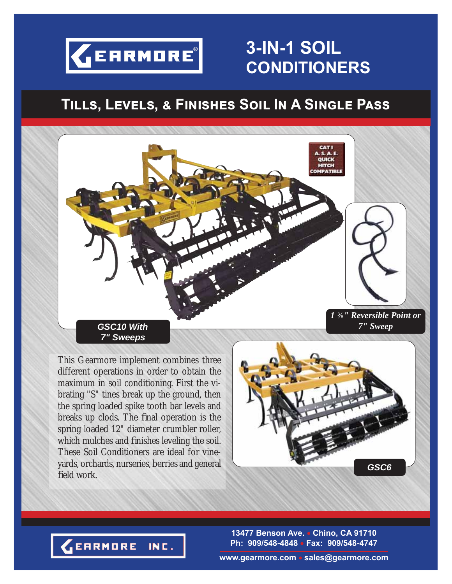

# **3-IN-1 SOIL CONDITIONERS**

# $TILLS$ , LEVELS, & FINISHES SOIL IN A SINGLE PASS



This Gearmore implement combines three different operations in order to obtain the maximum in soil conditioning. First the vibrating "S" tines break up the ground, then the spring loaded spike tooth bar levels and breaks up clods. The final operation is the spring loaded 12" diameter crumbler roller, which mulches and finishes leveling the soil. These Soil Conditioners are ideal for vineyards, orchards, nurseries, berries and general field work.





**13477 Benson Ave. Chino, CA 91710 Ph: 909/548-4848 Fax: 909/548-4747**

**www.gearmore.com sales@gearmore.com**